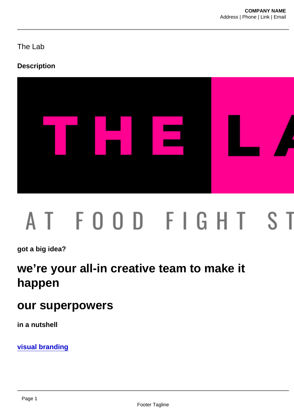The Lab

**Description** 

got a big idea?

# we're your all-in creative team to make it happen

## our superpowers

in a nutshell

visual branding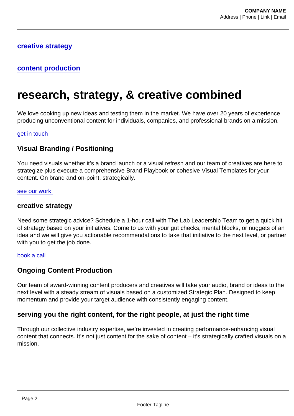### creative strategy

### content production

# research, strategy, & creative combined

We love cooking up new ideas and testing them in the market. We have over 20 years of experience producing unconventional content for individuals, companies, and professional brands on a mission.

#### get in touch

#### Visual Branding / Positioning

You need visuals whether it's a brand launch or a visual refresh and our team of creatives are here to strategize plus execute a comprehensive Brand Playbook or cohesive Visual Templates for your content. On brand and on-point, strategically.

#### [see our work](https://foodfightstudios.com/work/)

#### creative strategy

Need some strategic advice? Schedule a 1-hour call with The Lab Leadership Team to get a quick hit of strategy based on your initiatives. Come to us with your gut checks, mental blocks, or nuggets of an idea and we will give you actionable recommendations to take that initiative to the next level, or partner with you to get the job done.

#### [book a call](https://calendly.com/the-visual-impact-lab/creative-strategy)

#### Ongoing Content Production

Our team of award-winning content producers and creatives will take your audio, brand or ideas to the next level with a steady stream of visuals based on a customized Strategic Plan. Designed to keep momentum and provide your target audience with consistently engaging content.

#### serving you the right content, for the right people, at just the right time

Through our collective industry expertise, we're invested in creating performance-enhancing visual content that connects. It's not just content for the sake of content – it's strategically crafted visuals on a mission.